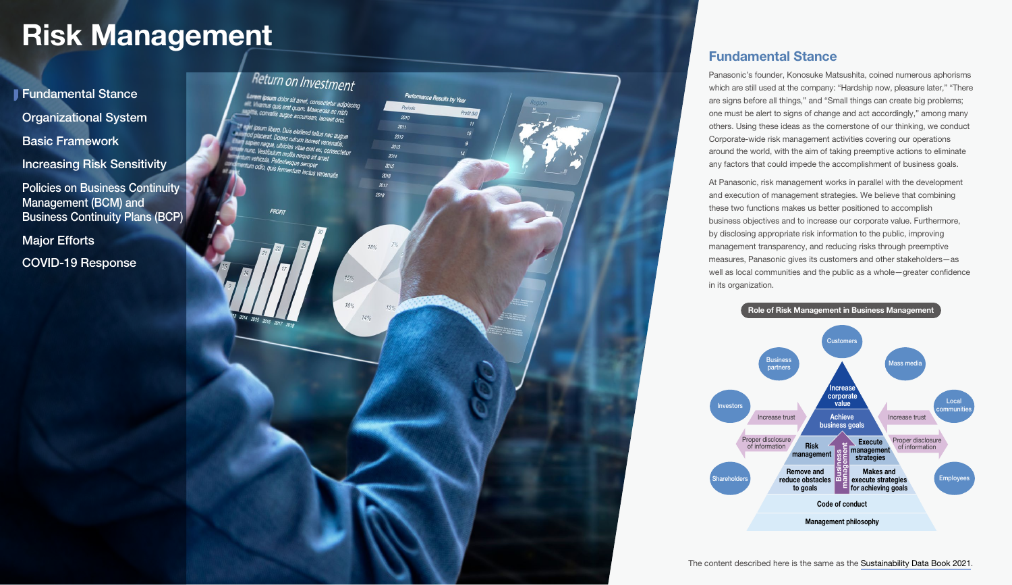# <span id="page-0-0"></span>Risk Management Fundamental Stance



Panasonic's founder, Konosuke Matsushita, coined numerous aphorisms which are still used at the company: "Hardship now, pleasure later," "There are signs before all things," and "Small things can create big problems; one must be alert to signs of change and act accordingly," among many others. Using these ideas as the cornerstone of our thinking, we conduct Corporate-wide risk management activities covering our operations around the world, with the aim of taking preemptive actions to eliminate any factors that could impede the accomplishment of business goals.

At Panasonic, risk management works in parallel with the development and execution of management strategies. We believe that combining these two functions makes us better positioned to accomplish business objectives and to increase our corporate value. Furthermore, by disclosing appropriate risk information to the public, improving management transparency, and reducing risks through preemptive measures, Panasonic gives its customers and other stakeholders—as well as local communities and the public as a whole—greater confidence in its organization.

Role of Risk Management in Business Management

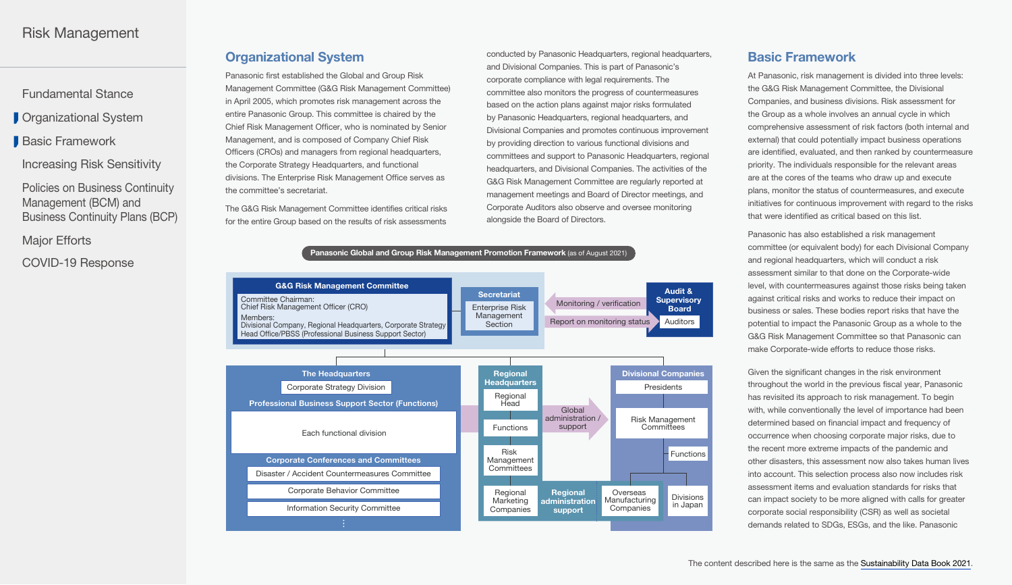<span id="page-1-0"></span>[Fundamental Stance](#page-0-0)

**C**rganizational System

Basic Framework

[Increasing Risk Sensitivity](#page-2-0)

Policies on Business Continuity Management (BCM) and [Business Continuity Plans \(BCP\)](#page-2-0)

[Major Efforts](#page-3-0)

[COVID-19 Response](#page-3-0)

### Organizational System

Panasonic first established the Global and Group Risk Management Committee (G&G Risk Management Committee) in April 2005, which promotes risk management across the entire Panasonic Group. This committee is chaired by the Chief Risk Management Officer, who is nominated by Senior Management, and is composed of Company Chief Risk Officers (CROs) and managers from regional headquarters, the Corporate Strategy Headquarters, and functional divisions. The Enterprise Risk Management Office serves as the committee's secretariat.

The G&G Risk Management Committee identifies critical risks for the entire Group based on the results of risk assessments

conducted by Panasonic Headquarters, regional headquarters, and Divisional Companies. This is part of Panasonic's corporate compliance with legal requirements. The committee also monitors the progress of countermeasures based on the action plans against major risks formulated by Panasonic Headquarters, regional headquarters, and Divisional Companies and promotes continuous improvement by providing direction to various functional divisions and committees and support to Panasonic Headquarters, regional headquarters, and Divisional Companies. The activities of the G&G Risk Management Committee are regularly reported at management meetings and Board of Director meetings, and Corporate Auditors also observe and oversee monitoring alongside the Board of Directors.



# Basic Framework

At Panasonic, risk management is divided into three levels: the G&G Risk Management Committee, the Divisional Companies, and business divisions. Risk assessment for the Group as a whole involves an annual cycle in which comprehensive assessment of risk factors (both internal and external) that could potentially impact business operations are identified, evaluated, and then ranked by countermeasure priority. The individuals responsible for the relevant areas are at the cores of the teams who draw up and execute plans, monitor the status of countermeasures, and execute initiatives for continuous improvement with regard to the risks that were identified as critical based on this list.

Panasonic has also established a risk management committee (or equivalent body) for each Divisional Company and regional headquarters, which will conduct a risk assessment similar to that done on the Corporate-wide level, with countermeasures against those risks being taken against critical risks and works to reduce their impact on business or sales. These bodies report risks that have the potential to impact the Panasonic Group as a whole to the G&G Risk Management Committee so that Panasonic can make Corporate-wide efforts to reduce those risks.

Given the significant changes in the risk environment throughout the world in the previous fiscal year, Panasonic has revisited its approach to risk management. To begin with, while conventionally the level of importance had been determined based on financial impact and frequency of occurrence when choosing corporate major risks, due to the recent more extreme impacts of the pandemic and other disasters, this assessment now also takes human lives into account. This selection process also now includes risk assessment items and evaluation standards for risks that can impact society to be more aligned with calls for greater corporate social responsibility (CSR) as well as societal demands related to SDGs, ESGs, and the like. Panasonic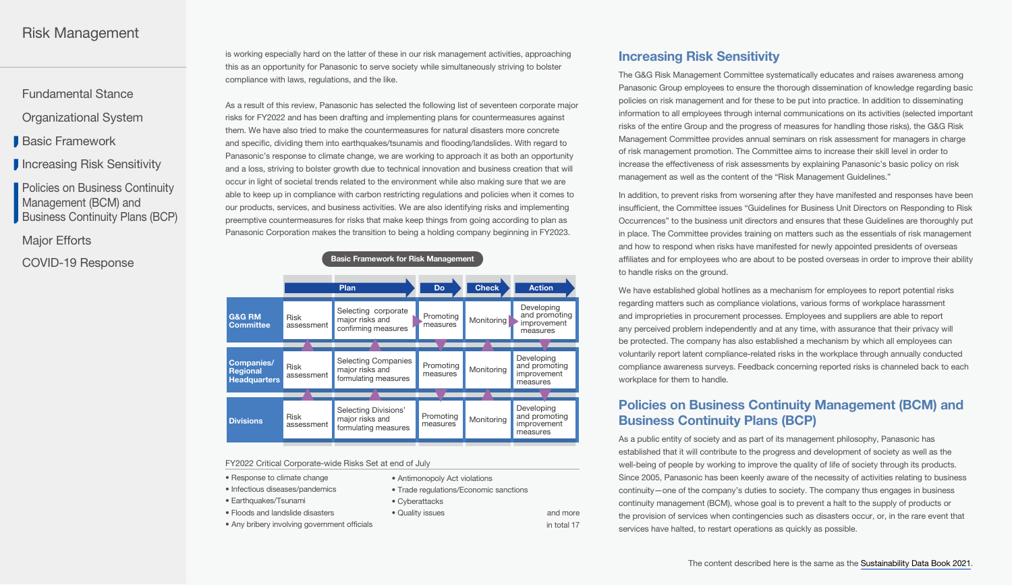# <span id="page-2-0"></span>Risk Management

[Fundamental Stance](#page-0-0)

[Organizational System](#page-1-0)

[Basic Framework](#page-1-0)

**I** Increasing Risk Sensitivity

Policies on Business Continuity Management (BCM) and Business Continuity Plans (BCP)

[Major Efforts](#page-3-0)

[COVID-19 Response](#page-3-0)

is working especially hard on the latter of these in our risk management activities, approaching this as an opportunity for Panasonic to serve society while simultaneously striving to bolster compliance with laws, regulations, and the like.

As a result of this review, Panasonic has selected the following list of seventeen corporate major risks for FY2022 and has been drafting and implementing plans for countermeasures against them. We have also tried to make the countermeasures for natural disasters more concrete and specific, dividing them into earthquakes/tsunamis and flooding/landslides. With regard to Panasonic's response to climate change, we are working to approach it as both an opportunity and a loss, striving to bolster growth due to technical innovation and business creation that will occur in light of societal trends related to the environment while also making sure that we are able to keep up in compliance with carbon restricting regulations and policies when it comes to our products, services, and business activities. We are also identifying risks and implementing preemptive countermeasures for risks that make keep things from going according to plan as Panasonic Corporation makes the transition to being a holding company beginning in FY2023.

| <b>Basic Framework for KISK Management</b>                  |                           |                                                                       |                       |              |                                                        |
|-------------------------------------------------------------|---------------------------|-----------------------------------------------------------------------|-----------------------|--------------|--------------------------------------------------------|
|                                                             |                           | Plan                                                                  | <b>Do</b>             | <b>Check</b> | <b>Action</b>                                          |
| <b>G&amp;G RM</b><br><b>Committee</b>                       | <b>Risk</b><br>assessment | Selecting corporate<br>major risks and<br>confirming measures         | Promoting<br>measures | Monitoring   | Developing<br>and promoting<br>improvement<br>measures |
|                                                             |                           |                                                                       |                       |              |                                                        |
| <b>Companies/</b><br><b>Regional</b><br><b>Headquarters</b> | <b>Risk</b><br>assessment | <b>Selecting Companies</b><br>major risks and<br>formulating measures | Promoting<br>measures | Monitoring   | Developing<br>and promoting<br>improvement<br>measures |
|                                                             |                           |                                                                       |                       |              |                                                        |
| <b>Divisions</b>                                            | <b>Risk</b><br>assessment | Selecting Divisions'<br>major risks and<br>formulating measures       | Promoting<br>measures | Monitoring   | Developing<br>and promoting<br>improvement<br>measures |

Basic Framework for Risk Management

FY2022 Critical Corporate-wide Risks Set at end of July

- Response to climate change
- Infectious diseases/pandemics
- Earthquakes/Tsunami
- Floods and landslide disasters
- Any bribery involving government officials
- Antimonopoly Act violations
- Trade regulations/Economic sanctions
- Cyberattacks

• Quality issues and more in total 17

### Increasing Risk Sensitivity

The G&G Risk Management Committee systematically educates and raises awareness among Panasonic Group employees to ensure the thorough dissemination of knowledge regarding basic policies on risk management and for these to be put into practice. In addition to disseminating information to all employees through internal communications on its activities (selected important risks of the entire Group and the progress of measures for handling those risks), the G&G Risk Management Committee provides annual seminars on risk assessment for managers in charge of risk management promotion. The Committee aims to increase their skill level in order to increase the effectiveness of risk assessments by explaining Panasonic's basic policy on risk management as well as the content of the "Risk Management Guidelines."

In addition, to prevent risks from worsening after they have manifested and responses have been insufficient, the Committee issues "Guidelines for Business Unit Directors on Responding to Risk Occurrences" to the business unit directors and ensures that these Guidelines are thoroughly put in place. The Committee provides training on matters such as the essentials of risk management and how to respond when risks have manifested for newly appointed presidents of overseas affiliates and for employees who are about to be posted overseas in order to improve their ability to handle risks on the ground.

We have established global hotlines as a mechanism for employees to report potential risks regarding matters such as compliance violations, various forms of workplace harassment and improprieties in procurement processes. Employees and suppliers are able to report any perceived problem independently and at any time, with assurance that their privacy will be protected. The company has also established a mechanism by which all employees can voluntarily report latent compliance-related risks in the workplace through annually conducted compliance awareness surveys. Feedback concerning reported risks is channeled back to each workplace for them to handle.

# Policies on Business Continuity Management (BCM) and Business Continuity Plans (BCP)

As a public entity of society and as part of its management philosophy, Panasonic has established that it will contribute to the progress and development of society as well as the well-being of people by working to improve the quality of life of society through its products. Since 2005, Panasonic has been keenly aware of the necessity of activities relating to business continuity—one of the company's duties to society. The company thus engages in business continuity management (BCM), whose goal is to prevent a halt to the supply of products or the provision of services when contingencies such as disasters occur, or, in the rare event that services have halted, to restart operations as quickly as possible.